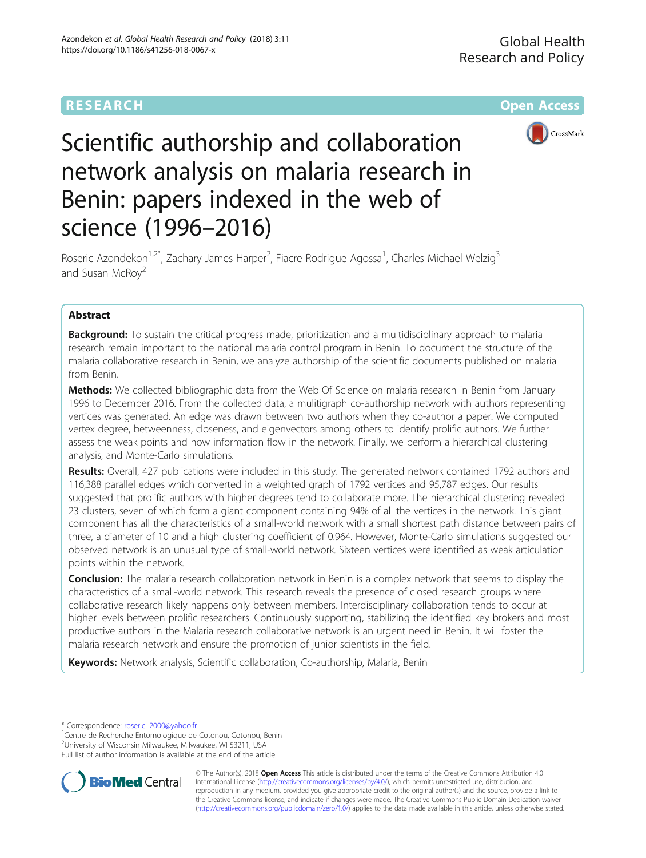## RESEARCH **RESEARCH CONSUMING THE CONSUMING THE CONSUMING THE CONSUMING TEAM Open Access**



# Scientific authorship and collaboration network analysis on malaria research in Benin: papers indexed in the web of science (1996–2016)

Roseric Azondekon<sup>1,2\*</sup>, Zachary James Harper<sup>2</sup>, Fiacre Rodrigue Agossa<sup>1</sup>, Charles Michael Welzig<sup>3</sup> and Susan McRoy<sup>2</sup>

## Abstract

**Background:** To sustain the critical progress made, prioritization and a multidisciplinary approach to malaria research remain important to the national malaria control program in Benin. To document the structure of the malaria collaborative research in Benin, we analyze authorship of the scientific documents published on malaria from Benin.

Methods: We collected bibliographic data from the Web Of Science on malaria research in Benin from January 1996 to December 2016. From the collected data, a mulitigraph co-authorship network with authors representing vertices was generated. An edge was drawn between two authors when they co-author a paper. We computed vertex degree, betweenness, closeness, and eigenvectors among others to identify prolific authors. We further assess the weak points and how information flow in the network. Finally, we perform a hierarchical clustering analysis, and Monte-Carlo simulations.

Results: Overall, 427 publications were included in this study. The generated network contained 1792 authors and 116,388 parallel edges which converted in a weighted graph of 1792 vertices and 95,787 edges. Our results suggested that prolific authors with higher degrees tend to collaborate more. The hierarchical clustering revealed 23 clusters, seven of which form a giant component containing 94% of all the vertices in the network. This giant component has all the characteristics of a small-world network with a small shortest path distance between pairs of three, a diameter of 10 and a high clustering coefficient of 0.964. However, Monte-Carlo simulations suggested our observed network is an unusual type of small-world network. Sixteen vertices were identified as weak articulation points within the network.

Conclusion: The malaria research collaboration network in Benin is a complex network that seems to display the characteristics of a small-world network. This research reveals the presence of closed research groups where collaborative research likely happens only between members. Interdisciplinary collaboration tends to occur at higher levels between prolific researchers. Continuously supporting, stabilizing the identified key brokers and most productive authors in the Malaria research collaborative network is an urgent need in Benin. It will foster the malaria research network and ensure the promotion of junior scientists in the field.

Keywords: Network analysis, Scientific collaboration, Co-authorship, Malaria, Benin

\* Correspondence: [roseric\\_2000@yahoo.fr](mailto:roseric_2000@yahoo.fr) <sup>1</sup>

<sup>1</sup> Centre de Recherche Entomologique de Cotonou, Cotonou, Benin

2 University of Wisconsin Milwaukee, Milwaukee, WI 53211, USA

Full list of author information is available at the end of the article



© The Author(s). 2018 Open Access This article is distributed under the terms of the Creative Commons Attribution 4.0 International License [\(http://creativecommons.org/licenses/by/4.0/](http://creativecommons.org/licenses/by/4.0/)), which permits unrestricted use, distribution, and reproduction in any medium, provided you give appropriate credit to the original author(s) and the source, provide a link to the Creative Commons license, and indicate if changes were made. The Creative Commons Public Domain Dedication waiver [\(http://creativecommons.org/publicdomain/zero/1.0/](http://creativecommons.org/publicdomain/zero/1.0/)) applies to the data made available in this article, unless otherwise stated.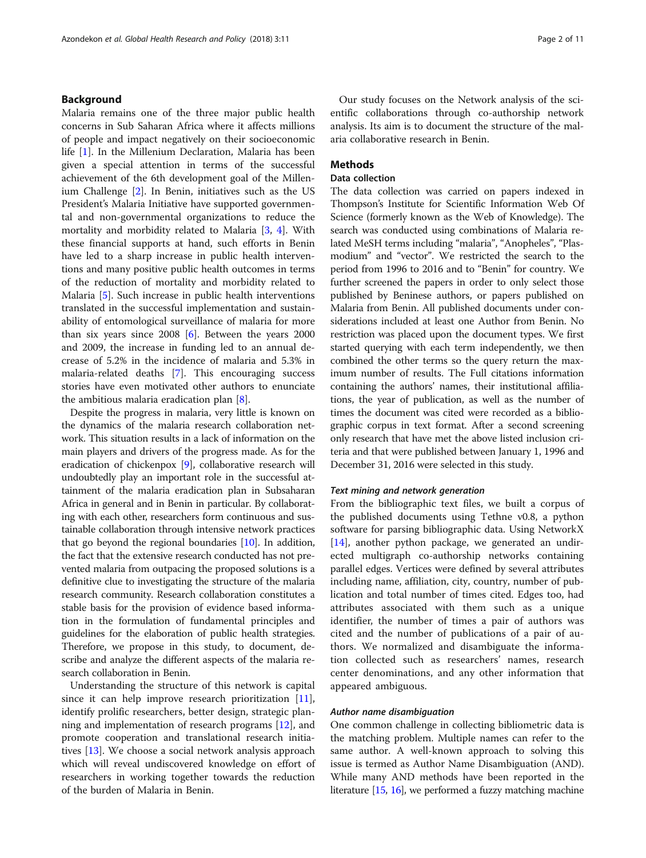## Background

Malaria remains one of the three major public health concerns in Sub Saharan Africa where it affects millions of people and impact negatively on their socioeconomic life [\[1\]](#page-9-0). In the Millenium Declaration, Malaria has been given a special attention in terms of the successful achievement of the 6th development goal of the Millenium Challenge [[2\]](#page-9-0). In Benin, initiatives such as the US President's Malaria Initiative have supported governmental and non-governmental organizations to reduce the mortality and morbidity related to Malaria [\[3,](#page-9-0) [4](#page-9-0)]. With these financial supports at hand, such efforts in Benin have led to a sharp increase in public health interventions and many positive public health outcomes in terms of the reduction of mortality and morbidity related to Malaria [\[5](#page-9-0)]. Such increase in public health interventions translated in the successful implementation and sustainability of entomological surveillance of malaria for more than six years since  $2008$  [[6\]](#page-9-0). Between the years  $2000$ and 2009, the increase in funding led to an annual decrease of 5.2% in the incidence of malaria and 5.3% in malaria-related deaths [[7](#page-10-0)]. This encouraging success stories have even motivated other authors to enunciate the ambitious malaria eradication plan [[8\]](#page-10-0).

Despite the progress in malaria, very little is known on the dynamics of the malaria research collaboration network. This situation results in a lack of information on the main players and drivers of the progress made. As for the eradication of chickenpox [[9\]](#page-10-0), collaborative research will undoubtedly play an important role in the successful attainment of the malaria eradication plan in Subsaharan Africa in general and in Benin in particular. By collaborating with each other, researchers form continuous and sustainable collaboration through intensive network practices that go beyond the regional boundaries [[10\]](#page-10-0). In addition, the fact that the extensive research conducted has not prevented malaria from outpacing the proposed solutions is a definitive clue to investigating the structure of the malaria research community. Research collaboration constitutes a stable basis for the provision of evidence based information in the formulation of fundamental principles and guidelines for the elaboration of public health strategies. Therefore, we propose in this study, to document, describe and analyze the different aspects of the malaria research collaboration in Benin.

Understanding the structure of this network is capital since it can help improve research prioritization [\[11](#page-10-0)], identify prolific researchers, better design, strategic planning and implementation of research programs [\[12](#page-10-0)], and promote cooperation and translational research initiatives [\[13](#page-10-0)]. We choose a social network analysis approach which will reveal undiscovered knowledge on effort of researchers in working together towards the reduction of the burden of Malaria in Benin.

Our study focuses on the Network analysis of the scientific collaborations through co-authorship network analysis. Its aim is to document the structure of the malaria collaborative research in Benin.

## **Methods**

## Data collection

The data collection was carried on papers indexed in Thompson's Institute for Scientific Information Web Of Science (formerly known as the Web of Knowledge). The search was conducted using combinations of Malaria related MeSH terms including "malaria", "Anopheles", "Plasmodium" and "vector". We restricted the search to the period from 1996 to 2016 and to "Benin" for country. We further screened the papers in order to only select those published by Beninese authors, or papers published on Malaria from Benin. All published documents under considerations included at least one Author from Benin. No restriction was placed upon the document types. We first started querying with each term independently, we then combined the other terms so the query return the maximum number of results. The Full citations information containing the authors' names, their institutional affiliations, the year of publication, as well as the number of times the document was cited were recorded as a bibliographic corpus in text format. After a second screening only research that have met the above listed inclusion criteria and that were published between January 1, 1996 and December 31, 2016 were selected in this study.

#### Text mining and network generation

From the bibliographic text files, we built a corpus of the published documents using Tethne v0.8, a python software for parsing bibliographic data. Using NetworkX [[14\]](#page-10-0), another python package, we generated an undirected multigraph co-authorship networks containing parallel edges. Vertices were defined by several attributes including name, affiliation, city, country, number of publication and total number of times cited. Edges too, had attributes associated with them such as a unique identifier, the number of times a pair of authors was cited and the number of publications of a pair of authors. We normalized and disambiguate the information collected such as researchers' names, research center denominations, and any other information that appeared ambiguous.

#### Author name disambiguation

One common challenge in collecting bibliometric data is the matching problem. Multiple names can refer to the same author. A well-known approach to solving this issue is termed as Author Name Disambiguation (AND). While many AND methods have been reported in the literature [\[15](#page-10-0), [16\]](#page-10-0), we performed a fuzzy matching machine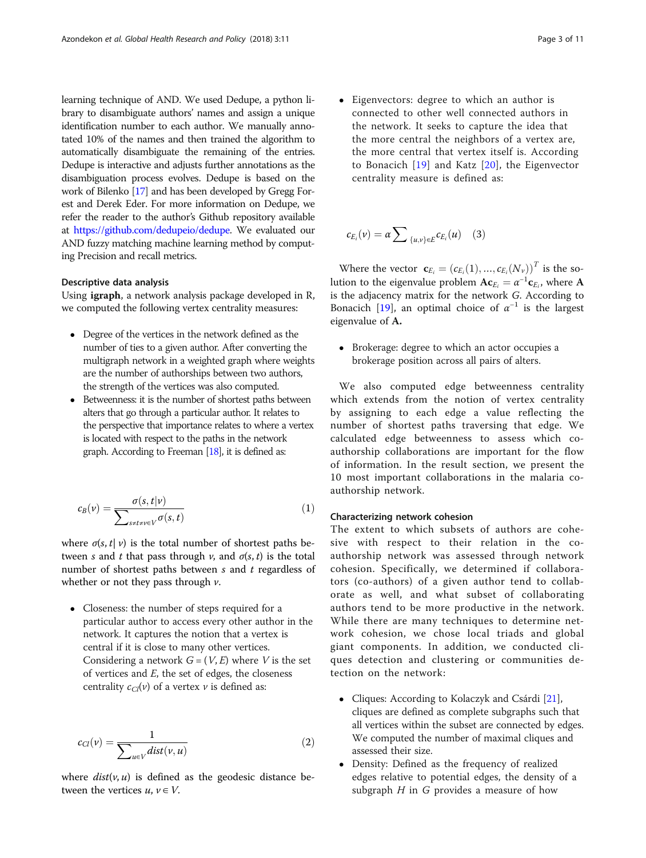learning technique of AND. We used Dedupe, a python library to disambiguate authors' names and assign a unique identification number to each author. We manually annotated 10% of the names and then trained the algorithm to automatically disambiguate the remaining of the entries. Dedupe is interactive and adjusts further annotations as the disambiguation process evolves. Dedupe is based on the work of Bilenko [\[17\]](#page-10-0) and has been developed by Gregg Forest and Derek Eder. For more information on Dedupe, we refer the reader to the author's Github repository available at [https://github.com/dedupeio/dedupe.](https://github.com/dedupeio/dedupe) We evaluated our AND fuzzy matching machine learning method by computing Precision and recall metrics.

## Descriptive data analysis

Using igraph, a network analysis package developed in R, we computed the following vertex centrality measures:

- Degree of the vertices in the network defined as the number of ties to a given author. After converting the multigraph network in a weighted graph where weights are the number of authorships between two authors, the strength of the vertices was also computed.
- Betweenness: it is the number of shortest paths between alters that go through a particular author. It relates to the perspective that importance relates to where a vertex is located with respect to the paths in the network graph. According to Freeman [[18\]](#page-10-0), it is defined as:

$$
c_B(\nu) = \frac{\sigma(s, t | \nu)}{\sum_{s \neq t \neq \nu \in V} \sigma(s, t)}
$$
(1)

where  $\sigma(s, t | v)$  is the total number of shortest paths between s and t that pass through v, and  $\sigma(s, t)$  is the total number of shortest paths between  $s$  and  $t$  regardless of whether or not they pass through  $\nu$ .

• Closeness: the number of steps required for a particular author to access every other author in the network. It captures the notion that a vertex is central if it is close to many other vertices. Considering a network  $G = (V, E)$  where V is the set of vertices and  $E$ , the set of edges, the closeness centrality  $c_{Cl}(\nu)$  of a vertex  $\nu$  is defined as:

$$
c_{Cl}(\nu) = \frac{1}{\sum_{u \in V} dist(\nu, u)}
$$
(2)

where  $dist(v, u)$  is defined as the geodesic distance between the vertices  $u, v \in V$ .

 Eigenvectors: degree to which an author is connected to other well connected authors in the network. It seeks to capture the idea that the more central the neighbors of a vertex are, the more central that vertex itself is. According to Bonacich [[19\]](#page-10-0) and Katz [[20](#page-10-0)], the Eigenvector centrality measure is defined as:

$$
c_{E_i}(\nu) = \alpha \sum_{\{u,v\} \in E} c_{E_i}(u) \quad (3)
$$

Where the vector  $\mathbf{c}_{E_i} = (c_{E_i}(1), ..., c_{E_i}(N_v))^T$  is the so-<br>tion to the gigonyolus problem  $\mathbf{A}_{E_i} = \sigma^{-1} \mathbf{c}_i$ , where  $\mathbf{A}_{E_i}$ lution to the eigenvalue problem  $Ac_{E_i} = \alpha^{-1}c_{E_i}$ , where A is the adjacency matrix for the network G. According to Bonacich [\[19\]](#page-10-0), an optimal choice of  $\alpha^{-1}$  is the largest eigenvalue of A.

 Brokerage: degree to which an actor occupies a brokerage position across all pairs of alters.

We also computed edge betweenness centrality which extends from the notion of vertex centrality by assigning to each edge a value reflecting the number of shortest paths traversing that edge. We calculated edge betweenness to assess which coauthorship collaborations are important for the flow of information. In the result section, we present the 10 most important collaborations in the malaria coauthorship network.

### Characterizing network cohesion

The extent to which subsets of authors are cohesive with respect to their relation in the coauthorship network was assessed through network cohesion. Specifically, we determined if collaborators (co-authors) of a given author tend to collaborate as well, and what subset of collaborating authors tend to be more productive in the network. While there are many techniques to determine network cohesion, we chose local triads and global giant components. In addition, we conducted cliques detection and clustering or communities detection on the network:

- Cliques: According to Kolaczyk and Csárdi [\[21\]](#page-10-0), cliques are defined as complete subgraphs such that all vertices within the subset are connected by edges. We computed the number of maximal cliques and assessed their size.
- Density: Defined as the frequency of realized edges relative to potential edges, the density of a subgraph  $H$  in  $G$  provides a measure of how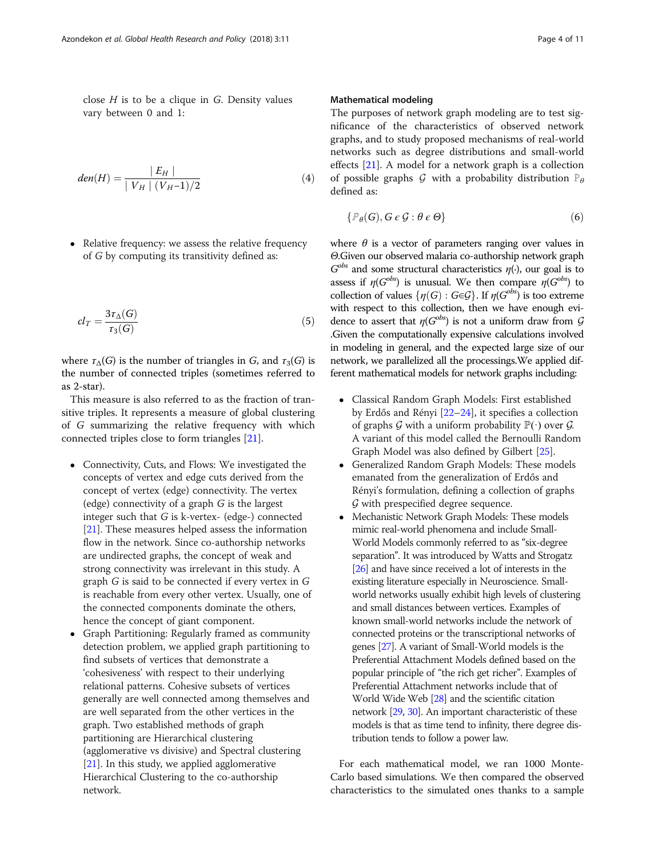close  $H$  is to be a clique in  $G$ . Density values vary between 0 and 1:

$$
den(H) = \frac{|E_H|}{|V_H| (V_H - 1)/2}
$$
 (4)

• Relative frequency: we assess the relative frequency of G by computing its transitivity defined as:

$$
cl_T = \frac{3\tau_{\Delta}(G)}{\tau_3(G)}\tag{5}
$$

where  $\tau_{\Delta}(G)$  is the number of triangles in G, and  $\tau_3(G)$  is the number of connected triples (sometimes referred to as 2-star).

This measure is also referred to as the fraction of transitive triples. It represents a measure of global clustering of G summarizing the relative frequency with which connected triples close to form triangles [[21\]](#page-10-0).

- Connectivity, Cuts, and Flows: We investigated the concepts of vertex and edge cuts derived from the concept of vertex (edge) connectivity. The vertex (edge) connectivity of a graph G is the largest integer such that G is k-vertex- (edge-) connected [[21](#page-10-0)]. These measures helped assess the information flow in the network. Since co-authorship networks are undirected graphs, the concept of weak and strong connectivity was irrelevant in this study. A graph G is said to be connected if every vertex in G is reachable from every other vertex. Usually, one of the connected components dominate the others, hence the concept of giant component.
- Graph Partitioning: Regularly framed as community detection problem, we applied graph partitioning to find subsets of vertices that demonstrate a 'cohesiveness' with respect to their underlying relational patterns. Cohesive subsets of vertices generally are well connected among themselves and are well separated from the other vertices in the graph. Two established methods of graph partitioning are Hierarchical clustering (agglomerative vs divisive) and Spectral clustering [[21](#page-10-0)]. In this study, we applied agglomerative Hierarchical Clustering to the co-authorship network.

## Mathematical modeling

The purposes of network graph modeling are to test significance of the characteristics of observed network graphs, and to study proposed mechanisms of real-world networks such as degree distributions and small-world effects [\[21](#page-10-0)]. A model for a network graph is a collection of possible graphs G with a probability distribution  $\mathbb{P}_{\theta}$ defined as:

$$
\{P_{\theta}(G), G \in \mathcal{G} : \theta \in \Theta\} \tag{6}
$$

where  $\theta$  is a vector of parameters ranging over values in Θ.Given our observed malaria co-authorship network graph  $G^{obs}$  and some structural characteristics  $\eta(\cdot)$ , our goal is to assess if  $\eta(G^{obs})$  is unusual. We then compare  $\eta(G^{obs})$  to collection of values  $\{\eta(G): G \in \mathcal{G}\}\$ . If  $\eta(G^{obs})$  is too extreme with respect to this collection, then we have enough evidence to assert that  $\eta(G^{obs})$  is not a uniform draw from  $G$ .Given the computationally expensive calculations involved in modeling in general, and the expected large size of our network, we parallelized all the processings.We applied different mathematical models for network graphs including:

- Classical Random Graph Models: First established by Erdős and Rényi [\[22](#page-10-0)–[24](#page-10-0)], it specifies a collection of graphs G with a uniform probability  $\mathbb{P}(\cdot)$  over G. A variant of this model called the Bernoulli Random Graph Model was also defined by Gilbert [\[25](#page-10-0)].
- Generalized Random Graph Models: These models emanated from the generalization of Erdős and Rényi's formulation, defining a collection of graphs  $G$  with prespecified degree sequence.
- Mechanistic Network Graph Models: These models mimic real-world phenomena and include Small-World Models commonly referred to as "six-degree separation". It was introduced by Watts and Strogatz [[26\]](#page-10-0) and have since received a lot of interests in the existing literature especially in Neuroscience. Smallworld networks usually exhibit high levels of clustering and small distances between vertices. Examples of known small-world networks include the network of connected proteins or the transcriptional networks of genes [[27\]](#page-10-0). A variant of Small-World models is the Preferential Attachment Models defined based on the popular principle of "the rich get richer". Examples of Preferential Attachment networks include that of World Wide Web [\[28](#page-10-0)] and the scientific citation network [\[29](#page-10-0), [30](#page-10-0)]. An important characteristic of these models is that as time tend to infinity, there degree distribution tends to follow a power law.

For each mathematical model, we ran 1000 Monte-Carlo based simulations. We then compared the observed characteristics to the simulated ones thanks to a sample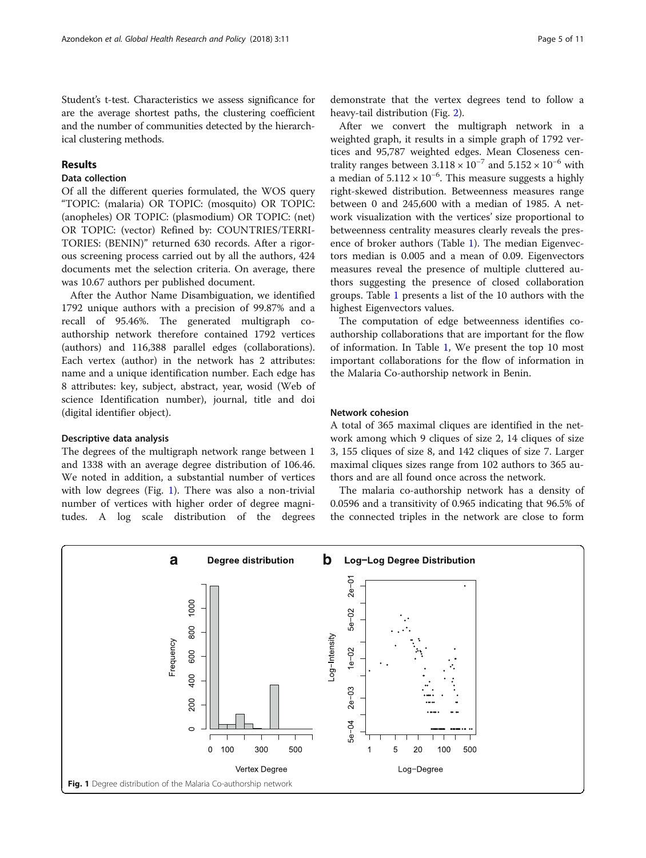Student's t-test. Characteristics we assess significance for are the average shortest paths, the clustering coefficient and the number of communities detected by the hierarchical clustering methods.

## Results

## Data collection

Of all the different queries formulated, the WOS query "TOPIC: (malaria) OR TOPIC: (mosquito) OR TOPIC: (anopheles) OR TOPIC: (plasmodium) OR TOPIC: (net) OR TOPIC: (vector) Refined by: COUNTRIES/TERRI-TORIES: (BENIN)" returned 630 records. After a rigorous screening process carried out by all the authors, 424 documents met the selection criteria. On average, there was 10.67 authors per published document.

After the Author Name Disambiguation, we identified 1792 unique authors with a precision of 99.87% and a recall of 95.46%. The generated multigraph coauthorship network therefore contained 1792 vertices (authors) and 116,388 parallel edges (collaborations). Each vertex (author) in the network has 2 attributes: name and a unique identification number. Each edge has 8 attributes: key, subject, abstract, year, wosid (Web of science Identification number), journal, title and doi (digital identifier object).

## Descriptive data analysis

The degrees of the multigraph network range between 1 and 1338 with an average degree distribution of 106.46. We noted in addition, a substantial number of vertices with low degrees (Fig. 1). There was also a non-trivial number of vertices with higher order of degree magnitudes. A log scale distribution of the degrees

demonstrate that the vertex degrees tend to follow a heavy-tail distribution (Fig. [2\)](#page-5-0).

After we convert the multigraph network in a weighted graph, it results in a simple graph of 1792 vertices and 95,787 weighted edges. Mean Closeness centrality ranges between  $3.118 \times 10^{-7}$  and  $5.152 \times 10^{-6}$  with a median of  $5.112 \times 10^{-6}$ . This measure suggests a highly right-skewed distribution. Betweenness measures range between 0 and 245,600 with a median of 1985. A network visualization with the vertices' size proportional to betweenness centrality measures clearly reveals the presence of broker authors (Table [1\)](#page-6-0). The median Eigenvectors median is 0.005 and a mean of 0.09. Eigenvectors measures reveal the presence of multiple cluttered authors suggesting the presence of closed collaboration groups. Table [1](#page-6-0) presents a list of the 10 authors with the highest Eigenvectors values.

The computation of edge betweenness identifies coauthorship collaborations that are important for the flow of information. In Table [1,](#page-6-0) We present the top 10 most important collaborations for the flow of information in the Malaria Co-authorship network in Benin.

## Network cohesion

A total of 365 maximal cliques are identified in the network among which 9 cliques of size 2, 14 cliques of size 3, 155 cliques of size 8, and 142 cliques of size 7. Larger maximal cliques sizes range from 102 authors to 365 authors and are all found once across the network.

The malaria co-authorship network has a density of 0.0596 and a transitivity of 0.965 indicating that 96.5% of the connected triples in the network are close to form

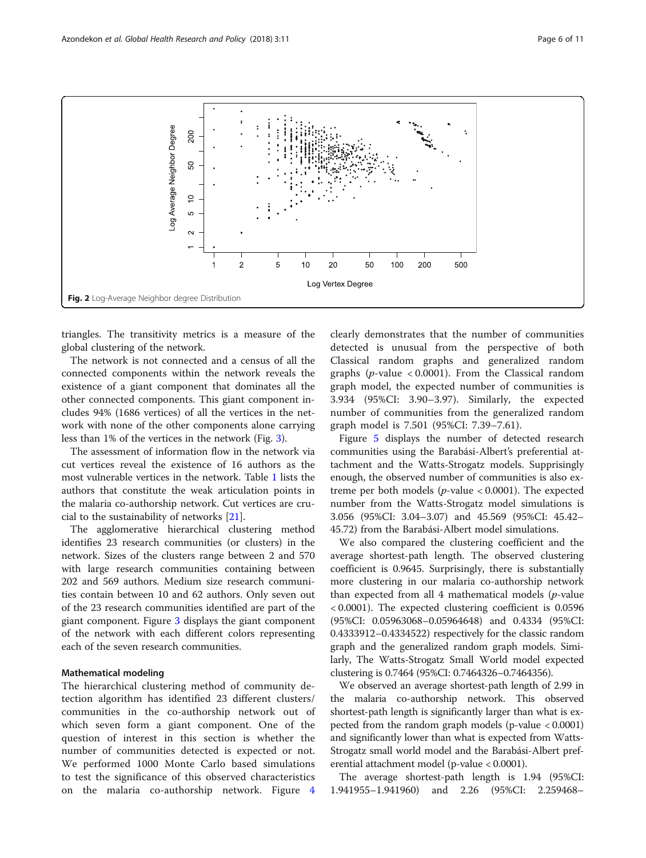<span id="page-5-0"></span>

triangles. The transitivity metrics is a measure of the global clustering of the network.

The network is not connected and a census of all the connected components within the network reveals the existence of a giant component that dominates all the other connected components. This giant component includes 94% (1686 vertices) of all the vertices in the network with none of the other components alone carrying less than 1% of the vertices in the network (Fig. [3\)](#page-7-0).

The assessment of information flow in the network via cut vertices reveal the existence of 16 authors as the most vulnerable vertices in the network. Table [1](#page-6-0) lists the authors that constitute the weak articulation points in the malaria co-authorship network. Cut vertices are crucial to the sustainability of networks [\[21\]](#page-10-0).

The agglomerative hierarchical clustering method identifies 23 research communities (or clusters) in the network. Sizes of the clusters range between 2 and 570 with large research communities containing between 202 and 569 authors. Medium size research communities contain between 10 and 62 authors. Only seven out of the 23 research communities identified are part of the giant component. Figure [3](#page-7-0) displays the giant component of the network with each different colors representing each of the seven research communities.

## Mathematical modeling

The hierarchical clustering method of community detection algorithm has identified 23 different clusters/ communities in the co-authorship network out of which seven form a giant component. One of the question of interest in this section is whether the number of communities detected is expected or not. We performed 1000 Monte Carlo based simulations to test the significance of this observed characteristics on the malaria co-authorship network. Figure [4](#page-7-0) clearly demonstrates that the number of communities detected is unusual from the perspective of both Classical random graphs and generalized random graphs ( $p$ -value < 0.0001). From the Classical random graph model, the expected number of communities is 3.934 (95%CI: 3.90–3.97). Similarly, the expected number of communities from the generalized random graph model is 7.501 (95%CI: 7.39–7.61).

Figure [5](#page-8-0) displays the number of detected research communities using the Barabási-Albert's preferential attachment and the Watts-Strogatz models. Supprisingly enough, the observed number of communities is also extreme per both models ( $p$ -value < 0.0001). The expected number from the Watts-Strogatz model simulations is 3.056 (95%CI: 3.04–3.07) and 45.569 (95%CI: 45.42– 45.72) from the Barabási-Albert model simulations.

We also compared the clustering coefficient and the average shortest-path length. The observed clustering coefficient is 0.9645. Surprisingly, there is substantially more clustering in our malaria co-authorship network than expected from all 4 mathematical models (p-value < 0.0001). The expected clustering coefficient is 0.0596 (95%CI: 0.05963068–0.05964648) and 0.4334 (95%CI: 0.4333912–0.4334522) respectively for the classic random graph and the generalized random graph models. Similarly, The Watts-Strogatz Small World model expected clustering is 0.7464 (95%CI: 0.7464326–0.7464356).

We observed an average shortest-path length of 2.99 in the malaria co-authorship network. This observed shortest-path length is significantly larger than what is expected from the random graph models (p-value < 0.0001) and significantly lower than what is expected from Watts-Strogatz small world model and the Barabási-Albert preferential attachment model (p-value < 0.0001).

The average shortest-path length is 1.94 (95%CI: 1.941955–1.941960) and 2.26 (95%CI: 2.259468–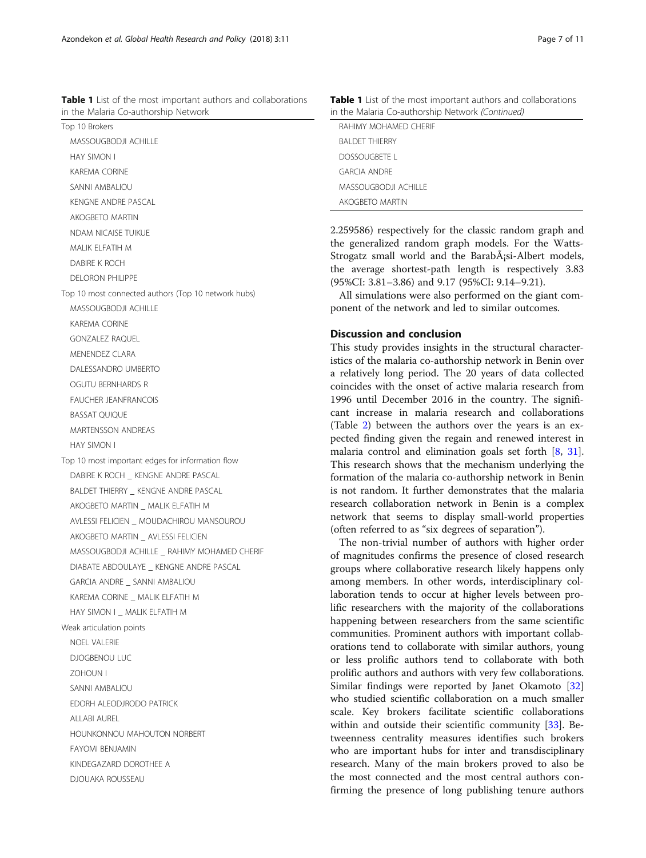<span id="page-6-0"></span>Table 1 List of the most important authors and collaborations

in the Malaria Co-authorship Network Top 10 Brokers MASSOUGBODJI ACHILLE HAY SIMON I KAREMA CORINE SANNI AMBALIOU KENGNE ANDRE PASCAL AKOGBETO MARTIN NDAM NICAISE TUIKUE MALIK ELFATIH M DABIRE K ROCH DELORON PHILIPPE Top 10 most connected authors (Top 10 network hubs) MASSOUGBODJI ACHILLE KAREMA CORINE GONZALEZ RAQUEL MENENDEZ CLARA DALESSANDRO UMBERTO OGUTU BERNHARDS R FAUCHER JEANFRANCOIS BASSAT QUIQUE MARTENSSON ANDREAS HAY SIMON I Top 10 most important edges for information flow DABIRE K ROCH \_ KENGNE ANDRE PASCAL BALDET THIERRY \_ KENGNE ANDRE PASCAL AKOGBETO MARTIN \_ MALIK ELFATIH M AVLESSI FELICIEN \_ MOUDACHIROU MANSOUROU AKOGBETO MARTIN \_ AVLESSI FELICIEN MASSOUGBODJI ACHILLE \_ RAHIMY MOHAMED CHERIF DIABATE ABDOULAYE \_ KENGNE ANDRE PASCAL GARCIA ANDRE \_ SANNI AMBALIOU KAREMA CORINE \_ MALIK ELFATIH M HAY SIMON I \_ MALIK ELFATIH M

Weak articulation points NOEL VALERIE DJOGBENOU LUC ZOHOUN I SANNI AMBALIOU

ALLABI AUREL

FAYOMI BENJAMIN

EDORH ALEODJRODO PATRICK

KINDEGAZARD DOROTHEE A DJOUAKA ROUSSEAU

HOUNKONNOU MAHOUTON NORBERT

Table 1 List of the most important authors and collaborations in the Malaria Co-authorship Network (Continued)

| RAHIMY MOHAMED CHERIE  |
|------------------------|
| <b>BAI DET THIERRY</b> |
| DOSSOUGBETE I          |
| GARCIA ANDRE           |
| MASSOUGBODJI ACHILLE   |
| AKOGRETO MARTIN        |

2.259586) respectively for the classic random graph and the generalized random graph models. For the Watts-Strogatz small world and the BarabÅ; si-Albert models, the average shortest-path length is respectively 3.83 (95%CI: 3.81–3.86) and 9.17 (95%CI: 9.14–9.21).

All simulations were also performed on the giant component of the network and led to similar outcomes.

## Discussion and conclusion

This study provides insights in the structural characteristics of the malaria co-authorship network in Benin over a relatively long period. The 20 years of data collected coincides with the onset of active malaria research from 1996 until December 2016 in the country. The significant increase in malaria research and collaborations (Table [2](#page-8-0)) between the authors over the years is an expected finding given the regain and renewed interest in malaria control and elimination goals set forth [[8,](#page-10-0) [31](#page-10-0)]. This research shows that the mechanism underlying the formation of the malaria co-authorship network in Benin is not random. It further demonstrates that the malaria research collaboration network in Benin is a complex network that seems to display small-world properties (often referred to as "six degrees of separation").

The non-trivial number of authors with higher order of magnitudes confirms the presence of closed research groups where collaborative research likely happens only among members. In other words, interdisciplinary collaboration tends to occur at higher levels between prolific researchers with the majority of the collaborations happening between researchers from the same scientific communities. Prominent authors with important collaborations tend to collaborate with similar authors, young or less prolific authors tend to collaborate with both prolific authors and authors with very few collaborations. Similar findings were reported by Janet Okamoto [[32](#page-10-0)] who studied scientific collaboration on a much smaller scale. Key brokers facilitate scientific collaborations within and outside their scientific community [\[33](#page-10-0)]. Betweenness centrality measures identifies such brokers who are important hubs for inter and transdisciplinary research. Many of the main brokers proved to also be the most connected and the most central authors confirming the presence of long publishing tenure authors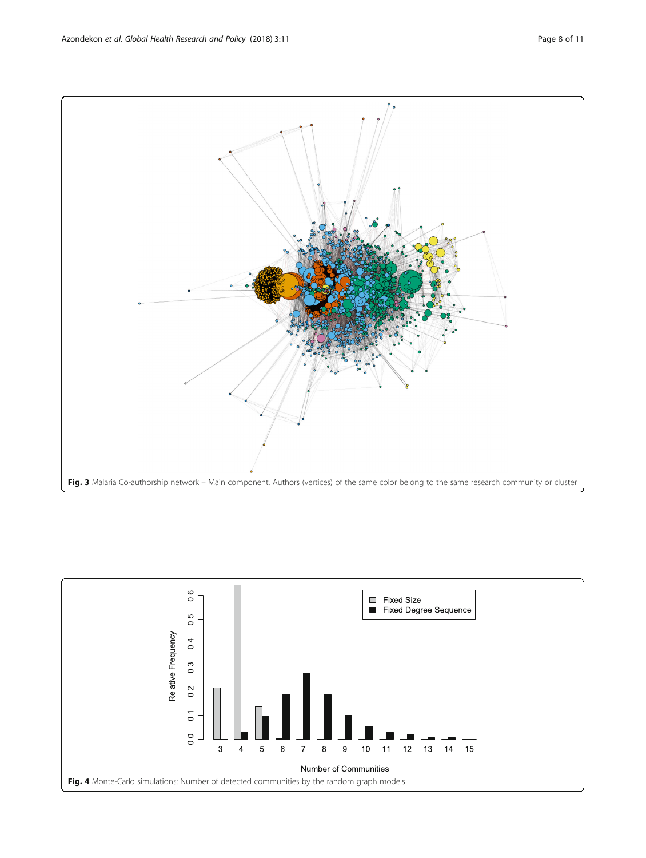<span id="page-7-0"></span>

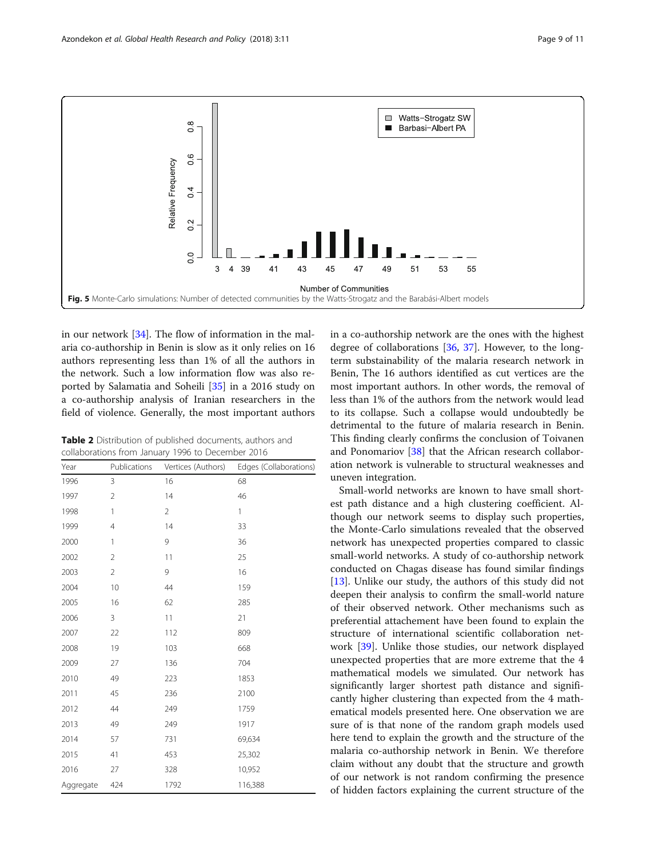<span id="page-8-0"></span>

in our network [[34](#page-10-0)]. The flow of information in the malaria co-authorship in Benin is slow as it only relies on 16 authors representing less than 1% of all the authors in the network. Such a low information flow was also reported by Salamatia and Soheili [\[35](#page-10-0)] in a 2016 study on a co-authorship analysis of Iranian researchers in the field of violence. Generally, the most important authors

Table 2 Distribution of published documents, authors and collaborations from January 1996 to December 2016

| Year      | Publications   | Vertices (Authors) | Edges (Collaborations) |
|-----------|----------------|--------------------|------------------------|
| 1996      | 3              | 16                 | 68                     |
| 1997      | $\overline{2}$ | 14                 | 46                     |
| 1998      | 1              | $\overline{2}$     | $\mathbf{1}$           |
| 1999      | 4              | 14                 | 33                     |
| 2000      | 1              | 9                  | 36                     |
| 2002      | $\overline{2}$ | 11                 | 25                     |
| 2003      | $\overline{2}$ | 9                  | 16                     |
| 2004      | 10             | 44                 | 159                    |
| 2005      | 16             | 62                 | 285                    |
| 2006      | 3              | 11                 | 21                     |
| 2007      | 22             | 112                | 809                    |
| 2008      | 19             | 103                | 668                    |
| 2009      | 27             | 136                | 704                    |
| 2010      | 49             | 223                | 1853                   |
| 2011      | 45             | 236                | 2100                   |
| 2012      | 44             | 249                | 1759                   |
| 2013      | 49             | 249                | 1917                   |
| 2014      | 57             | 731                | 69,634                 |
| 2015      | 41             | 453                | 25,302                 |
| 2016      | 27             | 328                | 10,952                 |
| Aggregate | 424            | 1792               | 116,388                |

in a co-authorship network are the ones with the highest degree of collaborations [[36](#page-10-0), [37](#page-10-0)]. However, to the longterm substainability of the malaria research network in Benin, The 16 authors identified as cut vertices are the most important authors. In other words, the removal of less than 1% of the authors from the network would lead to its collapse. Such a collapse would undoubtedly be detrimental to the future of malaria research in Benin. This finding clearly confirms the conclusion of Toivanen and Ponomariov [\[38](#page-10-0)] that the African research collaboration network is vulnerable to structural weaknesses and uneven integration.

Small-world networks are known to have small shortest path distance and a high clustering coefficient. Although our network seems to display such properties, the Monte-Carlo simulations revealed that the observed network has unexpected properties compared to classic small-world networks. A study of co-authorship network conducted on Chagas disease has found similar findings [[13\]](#page-10-0). Unlike our study, the authors of this study did not deepen their analysis to confirm the small-world nature of their observed network. Other mechanisms such as preferential attachement have been found to explain the structure of international scientific collaboration network [[39\]](#page-10-0). Unlike those studies, our network displayed unexpected properties that are more extreme that the 4 mathematical models we simulated. Our network has significantly larger shortest path distance and significantly higher clustering than expected from the 4 mathematical models presented here. One observation we are sure of is that none of the random graph models used here tend to explain the growth and the structure of the malaria co-authorship network in Benin. We therefore claim without any doubt that the structure and growth of our network is not random confirming the presence of hidden factors explaining the current structure of the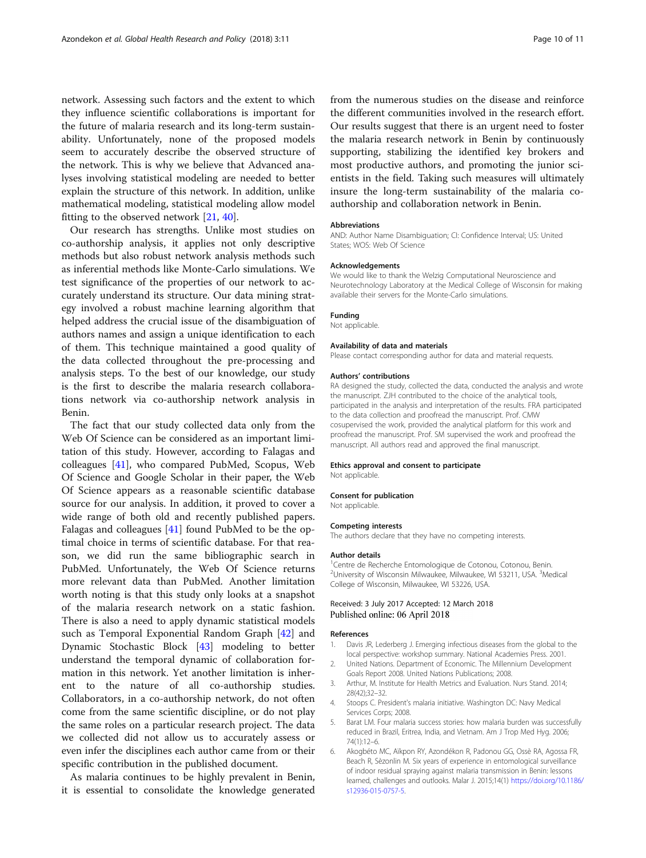<span id="page-9-0"></span>network. Assessing such factors and the extent to which they influence scientific collaborations is important for the future of malaria research and its long-term sustainability. Unfortunately, none of the proposed models seem to accurately describe the observed structure of the network. This is why we believe that Advanced analyses involving statistical modeling are needed to better explain the structure of this network. In addition, unlike mathematical modeling, statistical modeling allow model fitting to the observed network [\[21](#page-10-0), [40\]](#page-10-0).

Our research has strengths. Unlike most studies on co-authorship analysis, it applies not only descriptive methods but also robust network analysis methods such as inferential methods like Monte-Carlo simulations. We test significance of the properties of our network to accurately understand its structure. Our data mining strategy involved a robust machine learning algorithm that helped address the crucial issue of the disambiguation of authors names and assign a unique identification to each of them. This technique maintained a good quality of the data collected throughout the pre-processing and analysis steps. To the best of our knowledge, our study is the first to describe the malaria research collaborations network via co-authorship network analysis in Benin.

The fact that our study collected data only from the Web Of Science can be considered as an important limitation of this study. However, according to Falagas and colleagues [\[41](#page-10-0)], who compared PubMed, Scopus, Web Of Science and Google Scholar in their paper, the Web Of Science appears as a reasonable scientific database source for our analysis. In addition, it proved to cover a wide range of both old and recently published papers. Falagas and colleagues [\[41](#page-10-0)] found PubMed to be the optimal choice in terms of scientific database. For that reason, we did run the same bibliographic search in PubMed. Unfortunately, the Web Of Science returns more relevant data than PubMed. Another limitation worth noting is that this study only looks at a snapshot of the malaria research network on a static fashion. There is also a need to apply dynamic statistical models such as Temporal Exponential Random Graph [[42](#page-10-0)] and Dynamic Stochastic Block [[43\]](#page-10-0) modeling to better understand the temporal dynamic of collaboration formation in this network. Yet another limitation is inherent to the nature of all co-authorship studies. Collaborators, in a co-authorship network, do not often come from the same scientific discipline, or do not play the same roles on a particular research project. The data we collected did not allow us to accurately assess or even infer the disciplines each author came from or their specific contribution in the published document.

As malaria continues to be highly prevalent in Benin, it is essential to consolidate the knowledge generated from the numerous studies on the disease and reinforce the different communities involved in the research effort. Our results suggest that there is an urgent need to foster the malaria research network in Benin by continuously supporting, stabilizing the identified key brokers and most productive authors, and promoting the junior scientists in the field. Taking such measures will ultimately insure the long-term sustainability of the malaria coauthorship and collaboration network in Benin.

#### Abbreviations

AND: Author Name Disambiguation; CI: Confidence Interval; US: United States; WOS: Web Of Science

#### Acknowledgements

We would like to thank the Welzig Computational Neuroscience and Neurotechnology Laboratory at the Medical College of Wisconsin for making available their servers for the Monte-Carlo simulations.

#### Funding

Not applicable.

#### Availability of data and materials

Please contact corresponding author for data and material requests.

#### Authors' contributions

RA designed the study, collected the data, conducted the analysis and wrote the manuscript. ZJH contributed to the choice of the analytical tools, participated in the analysis and interpretation of the results. FRA participated to the data collection and proofread the manuscript. Prof. CMW cosupervised the work, provided the analytical platform for this work and proofread the manuscript. Prof. SM supervised the work and proofread the manuscript. All authors read and approved the final manuscript.

#### Ethics approval and consent to participate

Not applicable.

#### Consent for publication

Not applicable.

#### Competing interests

The authors declare that they have no competing interests.

#### Author details

<sup>1</sup> Centre de Recherche Entomologique de Cotonou, Cotonou, Benin. <sup>2</sup>University of Wisconsin Milwaukee, Milwaukee, WI 53211, USA. <sup>3</sup>Medical College of Wisconsin, Milwaukee, WI 53226, USA.

#### Received: 3 July 2017 Accepted: 12 March 2018 Published online: 06 April 2018

#### References

- 1. Davis JR, Lederberg J. Emerging infectious diseases from the global to the local perspective: workshop summary. National Academies Press. 2001.
- 2. United Nations. Department of Economic. The Millennium Development Goals Report 2008. United Nations Publications; 2008.
- 3. Arthur, M. Institute for Health Metrics and Evaluation. Nurs Stand. 2014; 28(42);32–32.
- 4. Stoops C. President's malaria initiative. Washington DC: Navy Medical Services Corps; 2008.
- 5. Barat LM. Four malaria success stories: how malaria burden was successfully reduced in Brazil, Eritrea, India, and Vietnam. Am J Trop Med Hyg. 2006; 74(1):12–6.
- 6. Akogbéto MC, Aïkpon RY, Azondékon R, Padonou GG, Ossè RA, Agossa FR, Beach R, Sèzonlin M. Six years of experience in entomological surveillance of indoor residual spraying against malaria transmission in Benin: lessons learned, challenges and outlooks. Malar J. 2015;14(1) [https://doi.org/10.1186/](https://doi.org/10.1186/s12936-015-0757-5) [s12936-015-0757-5.](https://doi.org/10.1186/s12936-015-0757-5)